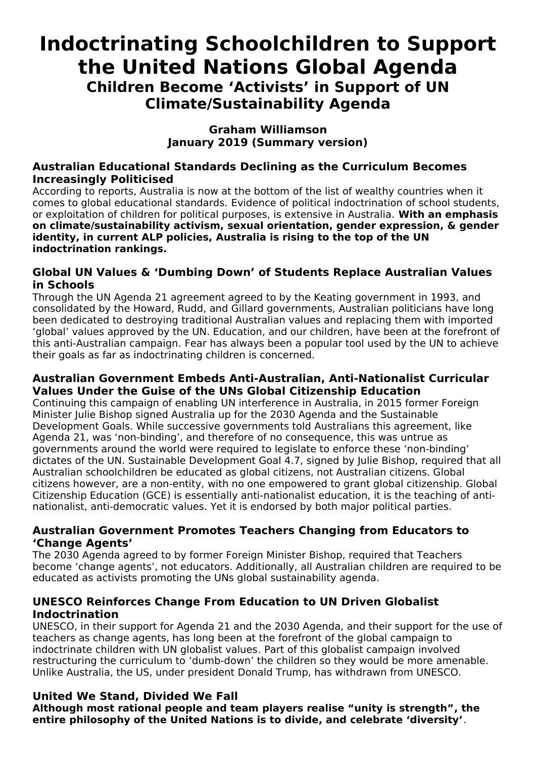# **Indoctrinating Schoolchildren to Support the United Nations Global Agenda Children Become 'Activists' in Support of UN Climate/Sustainability Agenda**

#### **Graham Williamson January 2019 (Summary version)**

#### **Australian Educational Standards Declining as the Curriculum Becomes Increasingly Politicised**

According to reports, Australia is now at the bottom of the list of wealthy countries when it comes to global educational standards. Evidence of political indoctrination of school students, or exploitation of children for political purposes, is extensive in Australia. **With an emphasis on climate/sustainability activism, sexual orientation, gender expression, & gender identity, in current ALP policies, Australia is rising to the top of the UN indoctrination rankings.**

#### **Global UN Values & 'Dumbing Down' of Students Replace Australian Values in Schools**

Through the UN Agenda 21 agreement agreed to by the Keating government in 1993, and consolidated by the Howard, Rudd, and Gillard governments, Australian politicians have long been dedicated to destroying traditional Australian values and replacing them with imported 'global' values approved by the UN. Education, and our children, have been at the forefront of this anti-Australian campaign. Fear has always been a popular tool used by the UN to achieve their goals as far as indoctrinating children is concerned.

#### **Australian Government Embeds Anti-Australian, Anti-Nationalist Curricular Values Under the Guise of the UNs Global Citizenship Education**

Continuing this campaign of enabling UN interference in Australia, in 2015 former Foreign Minister Julie Bishop signed Australia up for the 2030 Agenda and the Sustainable Development Goals. While successive governments told Australians this agreement, like Agenda 21, was 'non-binding', and therefore of no consequence, this was untrue as governments around the world were required to legislate to enforce these 'non-binding' dictates of the UN. Sustainable Development Goal 4.7, signed by Julie Bishop, required that all Australian schoolchildren be educated as global citizens, not Australian citizens. Global citizens however, are a non-entity, with no one empowered to grant global citizenship. Global Citizenship Education (GCE) is essentially anti-nationalist education, it is the teaching of antinationalist, anti-democratic values. Yet it is endorsed by both major political parties.

## **Australian Government Promotes Teachers Changing from Educators to 'Change Agents'**

The 2030 Agenda agreed to by former Foreign Minister Bishop, required that Teachers become 'change agents', not educators. Additionally, all Australian children are required to be educated as activists promoting the UNs global sustainability agenda.

## **UNESCO Reinforces Change From Education to UN Driven Globalist Indoctrination**

UNESCO, in their support for Agenda 21 and the 2030 Agenda, and their support for the use of teachers as change agents, has long been at the forefront of the global campaign to indoctrinate children with UN globalist values. Part of this globalist campaign involved restructuring the curriculum to 'dumb-down' the children so they would be more amenable. Unlike Australia, the US, under president Donald Trump, has withdrawn from UNESCO.

# **United We Stand, Divided We Fall**

**Although most rational people and team players realise "unity is strength", the entire philosophy of the United Nations is to divide, and celebrate 'diversity'**.